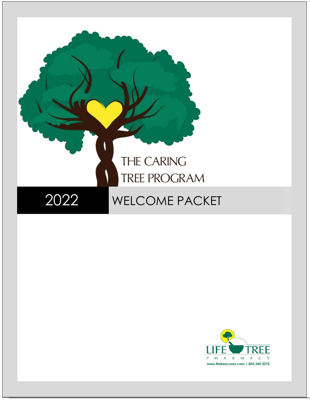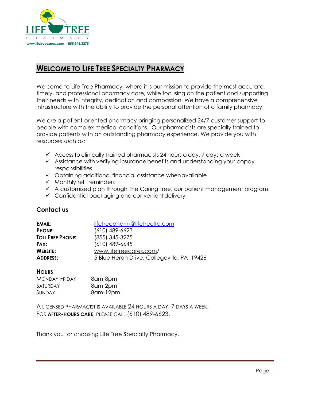

## <span id="page-1-0"></span>**WELCOME TO LIFE TREE SPECIALTY PHARMACY**

Welcome to Life Tree Pharmacy, where it is our mission to provide the most accurate, timely, and professional pharmacy care, while focusing on the patient and supporting their needs with integrity, dedication and compassion. We have a comprehensive infrastructure with the ability to provide the personal attention of a family pharmacy.

We are a patient-oriented pharmacy bringing personalized 24/7 customer support to people with complex medical conditions. Our pharmacists are specially trained to provide patients with an outstanding pharmacy experience. We provide you with resources such as:

- $\checkmark$  Access to clinically trained pharmacists 24 hours a day, 7 days a week
- $\checkmark$  Assistance with verifying insurance benefits and understanding your copay responsibilities.
- $\checkmark$  Obtaining additional financial assistance when available
- $\checkmark$  Monthly refill reminders
- $\checkmark$  A customized plan through The Caring Tree, our patient management program.
- $\checkmark$  Confidential packaging and convenient delivery

### <span id="page-1-1"></span>**Contact us**

| EMAIL:                  | lifetreepharm@lifetreeltc.com              |  |
|-------------------------|--------------------------------------------|--|
| <b>PHONE:</b>           | $(610)$ 489-6623                           |  |
| <b>TOLL FREE PHONE:</b> | (855) 345-3275                             |  |
| FAX:                    | $(610)$ 489-6645                           |  |
| <b>WEBSITE:</b>         | www.lifetreecares.com/                     |  |
| <b>ADDRESS:</b>         | 5 Blue Heron Drive, Collegeville, PA 19426 |  |

### **HOURS**

| <b>MONDAY-FRIDAY</b> | 8am-8pm  |
|----------------------|----------|
| SATURDAY             | 8am-2pm  |
| <b>SUNDAY</b>        | 8am-12pm |

A LICENSED PHARMACIST IS AVAILABLE 24 HOURS A DAY, 7 DAYS A WEEK. FOR **AFTER-HOURS CARE**, PLEASE CALL (610) 489-6623.

Thank you for choosing Life Tree Specialty Pharmacy.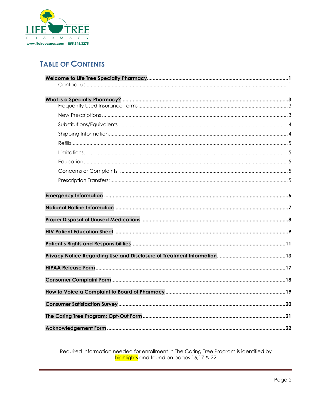

# **TABLE OF CONTENTS**

Required Information needed for enrollment in The Caring Tree Program is identified by highlights and found on pages 16,17 & 22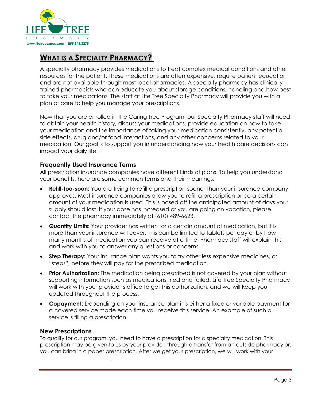

# <span id="page-3-0"></span>**WHAT IS A SPECIALTY PHARMACY?**

A specialty pharmacy provides medications to treat complex medical conditions and other resources for the patient. These medications are often expensive, require patient education and are not available through most local pharmacies. A specialty pharmacy has clinically trained pharmacists who can educate you about storage conditions, handling and how best to take your medications. The staff at Life Tree Specialty Pharmacy will provide you with a plan of care to help you manage your prescriptions.

Now that you are enrolled in the Caring Tree Program, our Specialty Pharmacy staff will need to obtain your health history, discuss your medications, provide education on how to take your medication and the importance of taking your medication consistently, any potential side effects, drug and/or food interactions, and any other concerns related to your medication. Our goal is to support you in understanding how your health care decisions can impact your daily life.

### <span id="page-3-1"></span>**Frequently Used Insurance Terms**

All prescription insurance companies have different kinds of plans. To help you understand your benefits, here are some common terms and their meanings:

- **Refill-too-soon:** You are trying to refill a prescription sooner than your insurance company approves. Most insurance companies allow you to refill a prescription once a certain amount of your medication is used. This is based off the anticipated amount of days your supply should last. If your dose has increased or you are going on vacation, please contact the pharmacy immediately at (610) 489-6623.
- **Quantity Limits:** Your provider has written for a certain amount of medication, but it is more than your insurance will cover. This can be limited to tablets per day or by how many months of medication you can receive at a time. Pharmacy staff will explain this and work with you to answer any questions or concerns.
- **Step Therapy:** Your insurance plan wants you to try other less expensive medicines, or "steps", before they will pay for the prescribed medication.
- **Prior Authorization:** The medication being prescribed is not covered by your plan without supporting information such as medications tried and failed. Life Tree Specialty Pharmacy will work with your provider's office to get this authorization, and we will keep you updated throughout the process.
- **Copaymen**t: Depending on your insurance plan it is either a fixed or variable payment for a covered service made each time you receive this service. An example of such a service is filling a prescription.

### <span id="page-3-2"></span>**New Prescriptions**

To qualify for our program, you need to have a prescription for a specialty medication. This prescription may be given to us by your provider, through a transfer from an outside pharmacy or, you can bring in a paper prescription. After we get your prescription, we will work with your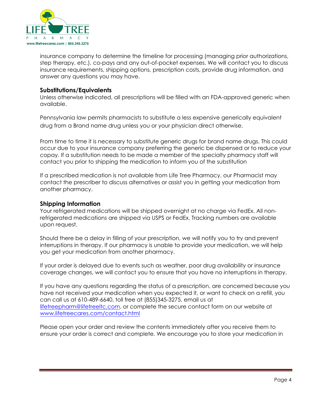

insurance company to determine the timeline for processing (managing prior authorizations, step therapy, etc.), co-pays and any out-of-pocket expenses. We will contact you to discuss insurance requirements, shipping options, prescription costs, provide drug information, and answer any questions you may have.

### <span id="page-4-0"></span>**Substitutions/Equivalents**

Unless otherwise indicated, all prescriptions will be filled with an FDA-approved generic when available.

Pennsylvania law permits pharmacists to substitute a less expensive generically equivalent drug from a Brand name drug unless you or your physician direct otherwise.

From time to time it is necessary to substitute generic drugs for brand name drugs. This could occur due to your insurance company preferring the generic be dispensed or to reduce your copay. If a substitution needs to be made a member of the specialty pharmacy staff will contact you prior to shipping the medication to inform you of the substitution

If a prescribed medication is not available from Life Tree Pharmacy, our Pharmacist may contact the prescriber to discuss alternatives or assist you in getting your medication from another pharmacy.

### <span id="page-4-1"></span>**Shipping Information**

Your refrigerated medications will be shipped overnight at no charge via FedEx. All nonrefrigerated medications are shipped via USPS or FedEx. Tracking numbers are available upon request.

Should there be a delay in filling of your prescription, we will notify you to try and prevent interruptions in therapy. If our pharmacy is unable to provide your medication, we will help you get your medication from another pharmacy.

If your order is delayed due to events such as weather, poor drug availability or insurance coverage changes, we will contact you to ensure that you have no interruptions in therapy.

If you have any questions regarding the status of a prescription, are concerned because you have not received your medication when you expected it, or want to check on a refill, you can call us at 610-489-6640, toll free at (855)345-3275, email us at [lifetreepharm@lifetreeltc.com,](mailto:lifetreepharm@lifetreeltc.com) or complete the secure contact form on our website at [www.lifetreecares.com/contact.html](https://www.lifetreecares.com/contact.html)

Please open your order and review the contents immediately after you receive them to ensure your order is correct and complete. We encourage you to store your medication in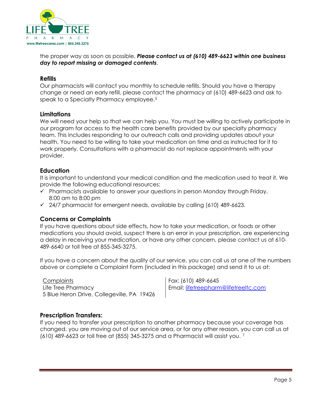

the proper way as soon as possible. *Please contact us at (610) 489-6623 within one business day to report missing or damaged contents*.

### <span id="page-5-0"></span>**Refills**

Our pharmacists will contact you monthly to schedule refills. Should you have a therapy change or need an early refill, please contact the pharmacy at (610) 489-6623 and ask to speak to a Specialty Pharmacy employee.<sup>[5](#page-5-5)</sup>

### <span id="page-5-1"></span>**Limitations**

We will need your help so that we can help you. You must be willing to actively participate in our program for access to the health care benefits provided by our specialty pharmacy team. This includes responding to our outreach calls and providing updates about your health. You need to be willing to take your medication on time and as instructed for it to work properly. Consultations with a pharmacist do not replace appointments with your provider.

### <span id="page-5-2"></span>**Education**

It is important to understand your medical condition and the medication used to treat it. We provide the following educational resources:

- $\checkmark$  Pharmacists available to answer your questions in person Monday through Friday, 8:00 am to 8:00 pm
- $\checkmark$  24/7 pharmacist for emergent needs, available by calling (610) 489-6623.

### <span id="page-5-3"></span>**Concerns or Complaints**

If you have questions about side effects, how to take your medication, or foods or other medications you should avoid, suspect there is an error in your prescription, are experiencing a delay in receiving your medication, or have any other concern, please contact us at 610- 489-6640 or toll free at 855-345-3275.

If you have a concern about the quality of our service, you can call us at one of the numbers above or complete a Complaint Form (included in this package) and send it to us at:

**Complaints** Life Tree Pharmacy 5 Blue Heron Drive, Collegeville, PA 19426 Fax: (610) 489-6645 Email: [lifetreepharm@lifetreeltc.com](mailto:lifetreepharm@lifetreeltc.com)

### <span id="page-5-4"></span>**Prescription Transfers:**

<span id="page-5-6"></span><span id="page-5-5"></span>If you need to transfer your prescription to another pharmacy because your coverage has changed, you are moving out of our service area, or for any other reason, you can call us at (610) 489-6623 or toll free at (855) 345-3275 and a Pharmacist will assist you. [7](#page-5-6)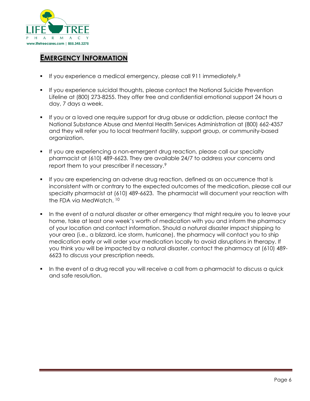

## <span id="page-6-0"></span>**EMERGENCY INFORMATION**

- If you experience a medical emergency, please call 911 immediately.[8](#page-6-1)
- **If you experience suicidal thoughts, please contact the National Suicide Prevention** Lifeline at (800) 273-8255. They offer free and confidential emotional support 24 hours a day, 7 days a week.
- If you or a loved one require support for drug abuse or addiction, please contact the National Substance Abuse and Mental Health Services Administration at (800) 662-4357 and they will refer you to local treatment facility, support group, or community-based organization.
- If you are experiencing a non-emergent drug reaction, please call our specialty pharmacist at (610) 489-6623. They are available 24/7 to address your concerns and report them to your prescriber if necessary.[9](#page-6-2)
- If you are experiencing an adverse drug reaction, defined as an occurrence that is inconsistent with or contrary to the expected outcomes of the medication, please call our specialty pharmacist at (610) 489-6623. The pharmacist will document your reaction with the FDA via MedWatch. [10](#page-6-3)
- In the event of a natural disaster or other emergency that might require you to leave your home, take at least one week's worth of medication with you and inform the pharmacy of your location and contact information. Should a natural disaster impact shipping to your area (i.e., a blizzard, ice storm, hurricane), the pharmacy will contact you to ship medication early or will order your medication locally to avoid disruptions in therapy. If you think you will be impacted by a natural disaster, contact the pharmacy at (610) 489- 6623 to discuss your prescription needs.
- <span id="page-6-3"></span><span id="page-6-2"></span><span id="page-6-1"></span> In the event of a drug recall you will receive a call from a pharmacist to discuss a quick and safe resolution.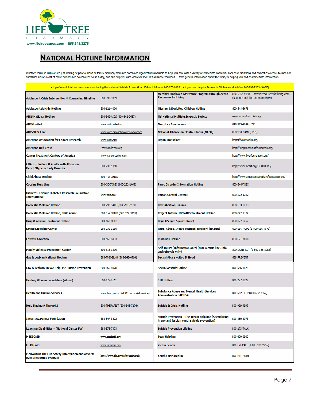

# <span id="page-7-0"></span>**NATIONAL HOTLINE INFORMATION**

Whether you're in crisis or are just looking help for a friend or family member, there are dozens of organizations available to help you deal with a variety of immediate concerns, from crisis situations and domestic violen substance abuse. Most of these hotlines are available 24 hours a day, and can help you with whatever level of assistance you need - from general information about the topic, to helping you find an immediate intervention.

|                                                                                     |                                             | . If you're suicidal, we recommend contacting the National Suicide Prevention Lifeline toll-free at 800-273-8255 . If you need help for Domestic Violence call toll-free 800-799-7233 (SAFE) |                                                                           |
|-------------------------------------------------------------------------------------|---------------------------------------------|----------------------------------------------------------------------------------------------------------------------------------------------------------------------------------------------|---------------------------------------------------------------------------|
| <b>Adolescent Crisis Intervention &amp; Counseling Nineline</b>                     | 800-999-9999                                | Merakey Employee Assistance Program through Aetna<br><b>Resources for Living</b>                                                                                                             | 866-252-4468 www.resourcesforliving.com<br>(see intranet for username/pw) |
| <b>Adolescent Suicide Hotline</b>                                                   | 800-621-4000                                | <b>Missing &amp; Exploited Children Hotline</b>                                                                                                                                              | 800-543-5678                                                              |
| <b>AIDS National Hotline</b>                                                        | 800-342-AIDS (800-342-2437)                 | <b>MS National Multiple Sclerosis Society</b>                                                                                                                                                | www.nationalmssociety.org                                                 |
| <b>AIDS United</b>                                                                  | www.aidsunited.org                          | <b>Narcotics Anonymous</b>                                                                                                                                                                   | 818-773-9999 x 771                                                        |
| <b>AIDS/HIV Care</b>                                                                | www.care.org/getinvolved/advocacy           | National Alliance on Mental Illness (NAMI)                                                                                                                                                   | 800-950-NAMI (6264)                                                       |
| <b>American Association for Cancer Research</b>                                     | www.aacr.org                                | Organ Transplant                                                                                                                                                                             | https://www.aakp.org/                                                     |
| <b>American Red Cross</b>                                                           | www.redcross.org                            |                                                                                                                                                                                              | http://lungtransplantfoundation.org/                                      |
| <b>Cancer Treatment Centers of America</b>                                          | www.cancercenter.com                        |                                                                                                                                                                                              | http://www.liverfoundation.org/                                           |
| <b>CHADD-Children &amp; Adults with Attention</b><br>Deficit/Hyperactivity Disorder | 800-233-4050                                |                                                                                                                                                                                              | http://www.heart.org/HEARTORG/                                            |
| Child Abuse Hotline                                                                 | 800-4-A-CHILD                               |                                                                                                                                                                                              | http://www.americantransplantfoundation.org/                              |
| <b>Cocaine Help Line</b>                                                            | 800-COCAINE (800-262-2463)                  | <b>Panic Disorder Information Hotline</b>                                                                                                                                                    | 800-64-PANIC                                                              |
| <b>Diabetes Juvenile Diabetes Research Foundation</b><br><b>International</b>       | www.jdrf.org                                | <b>Poison Control Centers</b>                                                                                                                                                                | 800-222-1222                                                              |
| <b>Domestic Violence Hotline</b>                                                    | 800-799-SAFE (800-799-7233)                 | <b>Post Abortion Trauma</b>                                                                                                                                                                  | 800-593-2273                                                              |
| Domestic Violence Hotline/Child Abuse                                               | 800-4-A-CHILD (800-422-4453)                | Project Inform HIV/AIDS Treatment Hotline                                                                                                                                                    | 800-822-7422                                                              |
| Drug & Alcohol Treatment Hotline                                                    | 800-662-HELP                                | Rape (People Against Rape)                                                                                                                                                                   | 800-877-7252                                                              |
| <b>Eating Disorders Center</b>                                                      | 888-236-1188                                | Rape, Abuse, Incest, National Network (RAINN)                                                                                                                                                | 800-656-HOPE (1-800-656-4673)                                             |
| <b>Ecstasy Addiction</b>                                                            | 800-468-6933                                | <b>Runaway Hotline</b>                                                                                                                                                                       | 800-621-4000                                                              |
| <b>Family Violence Prevention Center</b>                                            | 800-313-1310                                | Self-Injury (Information only) (NOT a crisis line. Info<br>and referrals only)                                                                                                               | 800-DONT CUT (1-800-366-8288)                                             |
| Gay & Lesbian National Hotline                                                      | 888-THE-GLNH (888-843-4564)                 | Sexual Abuse - Stop It Now!                                                                                                                                                                  | 888-PREVENT                                                               |
| Gay & Lesbian Trevor HelpLine Suicide Prevention                                    | 800-850-8078                                | <b>Sexual Assault Hotline</b>                                                                                                                                                                | 800-656-4673                                                              |
| <b>Healing Woman Foundation (Abuse)</b>                                             | 800-477-4111                                | <b>STD Hotline</b>                                                                                                                                                                           | 800-227-8922                                                              |
| <b>Health and Human Services</b>                                                    | www.hss.gov or dial 211 for social services | <b>Substance Abuse and Mental Health Services</b><br><b>Administration SAMHSA</b>                                                                                                            | 800-662-HELP (800-662-4357)                                               |
| <b>Help Finding A Therapist</b>                                                     | 800-THERAPIST (800-843-7274)                | <b>Suicide &amp; Crisis Hotline</b>                                                                                                                                                          | 800-999-9999                                                              |
| <b>Incest Awareness Foundation</b>                                                  | 888-547-3222                                | Suicide Prevention - The Trevor HelpLine (Specializing<br>in gay and lesbian youth suicide prevention)                                                                                       | 800-850-8078                                                              |
| Learning Disabilities - (National Center For)                                       | 888-575-7373                                | <b>Suicide Prevention Lifeline</b>                                                                                                                                                           | 800-273-TALK                                                              |
| <b>MEDICAID</b>                                                                     | www.medicaid.gov/                           | <b>Teen Helpline</b>                                                                                                                                                                         | 800-400-0900                                                              |
| <b>MEDICARE</b>                                                                     | www.medicare.gov/                           | <b>Victim Center</b>                                                                                                                                                                         | 800-FYI-CALL (1-800-394-2255)                                             |
| MedWatch: The FDA Safety Information and Adverse<br><b>Event Reporting Program</b>  | https://www.fda.gov/safety/medwatch/        | <b>Youth Crisis Hotline</b>                                                                                                                                                                  | 800-HIT-HOME                                                              |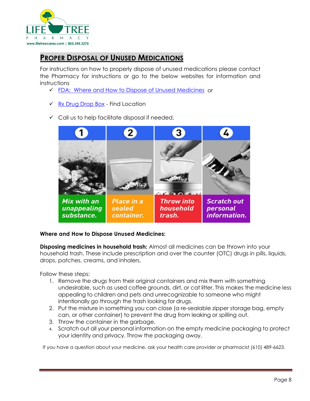

# <span id="page-8-0"></span>**PROPER DISPOSAL OF UNUSED MEDICATIONS**

For instructions on how to properly dispose of unused medications please contact the Pharmacy for instructions or go to the below websites for information and instructions

- FDA: Where and [How to Dispose of Unused Medicines](https://www.fda.gov/forconsumers/consumerupdates/ucm101653.htm) or
- $\sqrt{Rx}$  Drug Drop Box Find Location
- $\checkmark$  Call us to help facilitate disposal if needed.



### **Where and How to Dispose Unused Medicines:**

**Disposing medicines in household trash:** Almost all medicines can be thrown into your household trash. These include prescription and over the counter (OTC) drugs in pills, liquids, drops, patches, creams, and inhalers.

Follow these steps:

- 1. Remove the drugs from their original containers and mix them with something undesirable, such as used coffee grounds, dirt, or cat litter. This makes the medicine less appealing to children and pets and unrecognizable to someone who might intentionally go through the trash looking for drugs.
- 2. Put the mixture in something you can close (a re-sealable zipper storage bag, empty can, or other container) to prevent the drug from leaking or spilling out.
- 3. Throw the container in the garbage.
- 4. Scratch out all your personal information on the empty medicine packaging to protect your identity and privacy. Throw the packaging away.

If you have a question about your medicine, ask your health care provider or pharmacist (610) 489-6623.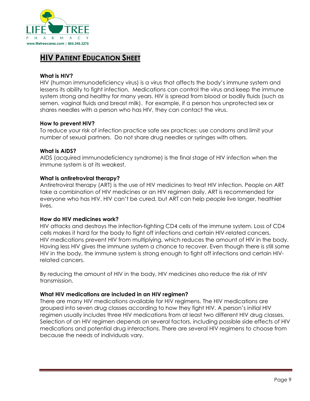

## <span id="page-9-0"></span>**HIV PATIENT EDUCATION SHEET**

### **What is HIV?**

HIV (human immunodeficiency virus) is a virus that affects the body's immune system and lessens its ability to fight infection. Medications can control the virus and keep the immune system strong and healthy for many years. HIV is spread from blood or bodily fluids (such as semen, vaginal fluids and breast milk). For example, if a person has unprotected sex or shares needles with a person who has HIV, they can contact the virus.

### **How to prevent HIV?**

To reduce your risk of infection practice safe sex practices: use condoms and limit your number of sexual partners. Do not share drug needles or syringes with others.

### **What is AIDS?**

AIDS (acquired immunodeficiency syndrome) is the final stage of HIV infection when the immune system is at its weakest.

### **What is antiretroviral therapy?**

Antiretroviral therapy (ART) is the use of HIV medicines to treat HIV infection. People on ART take a combination of HIV medicines or an HIV regimen daily. ART is recommended for everyone who has HIV. HIV can't be cured, but ART can help people live longer, healthier lives.

### **How do HIV medicines work?**

HIV attacks and destroys the infection-fighting CD4 cells of the immune system. Loss of CD4 cells makes it hard for the body to fight off infections and certain HIV-related cancers. HIV medications prevent HIV from multiplying, which reduces the amount of HIV in the body. Having less HIV gives the immune system a chance to recover. Even though there is still some HIV in the body, the immune system is strong enough to fight off infections and certain HIVrelated cancers.

By reducing the amount of HIV in the body, HIV medicines also reduce the risk of HIV transmission.

### **What HIV medications are included in an HIV regimen?**

There are many HIV medications available for HIV regimens. The HIV medications are grouped into seven drug classes according to how they fight HIV. A person's initial HIV regimen usually includes three HIV medications from at least two different HIV drug classes. Selection of an HIV regimen depends on several factors, including possible side effects of HIV medications and potential drug interactions. There are several HIV regimens to choose from because the needs of individuals vary.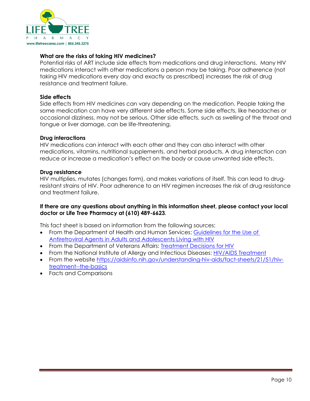

### **What are the risks of taking HIV medicines?**

Potential risks of ART include side effects from medications and drug interactions. Many HIV medications interact with other medications a person may be taking. Poor adherence (not taking HIV medications every day and exactly as prescribed) increases the risk of drug resistance and treatment failure.

### **Side effects**

Side effects from HIV medicines can vary depending on the medication. People taking the same medication can have very different side effects. Some side effects, like headaches or occasional dizziness, may not be serious. Other side effects, such as swelling of the throat and tongue or liver damage, can be life-threatening.

### **Drug interactions**

HIV medications can interact with each other and they can also interact with other medications, vitamins, nutritional supplements, and herbal products. A drug interaction can reduce or increase a medication's effect on the body or cause unwanted side effects.

### **Drug resistance**

HIV multiplies, mutates (changes form), and makes variations of itself. This can lead to drugresistant strains of HIV. Poor adherence to an HIV regimen increases the risk of drug resistance and treatment failure.

### **If there are any questions about anything in this information sheet, please contact your local doctor or Life Tree Pharmacy at (610) 489-6623.**

This fact sheet is based on information from the following sources:

- From the Department of Health and Human Services: [Guidelines for the Use of](https://aidsinfo.nih.gov/guidelines/html/1/adult-and-adolescent-arv-guidelines/0) [Antiretroviral Agents in Adults and Adolescents Living with HIV](https://aidsinfo.nih.gov/guidelines/html/1/adult-and-adolescent-arv-guidelines/0)
- From the Department of Veterans Affairs: [Treatment Decisions for HIV](http://www.hiv.va.gov/patient/treat/decisions-single-page.asp)
- From the National Institute of Allergy and Infectious Diseases: [HIV/AIDS Treatment](https://www.niaid.nih.gov/diseases-conditions/hiv-treatment)
- From the website [https://aidsinfo.nih.gov/understanding-hiv-aids/fact-sheets/21/51/hiv](https://aidsinfo.nih.gov/understanding-hiv-aids/fact-sheets/21/51/hiv-treatment--the-basics)[treatment--the-basics](https://aidsinfo.nih.gov/understanding-hiv-aids/fact-sheets/21/51/hiv-treatment--the-basics)
- Facts and Comparisons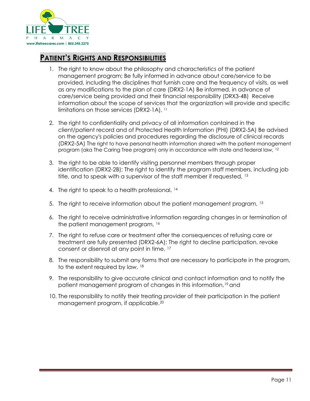

## <span id="page-11-0"></span>**PATIENT'S RIGHTS AND RESPONSIBILITIES**

- 1. The right to know about the philosophy and characteristics of the patient management program; Be fully informed in advance about care/service to be provided, including the disciplines that furnish care and the frequency of visits, as well as any modifications to the plan of care (DRX2-1A) Be informed, in advance of care/service being provided and their financial responsibility (DRX3-4B) Receive information about the scope of services that the organization will provide and specific limitations on those services (DRX2-1A), [11](#page-11-1)
- 2. The right to confidentiality and privacy of all information contained in the client/patient record and of Protected Health Information (PHI) (DRX2-5A) Be advised on the agency's policies and procedures regarding the disclosure of clinical records (DRX2-5A) The right to have personal health information shared with the patient management program (aka The Caring Tree program) only in accordance with state and federal law, [12](#page-11-2)
- 3. The right to be able to identify visiting personnel members through proper identification (DRX2-2B); The right to identify the program staff members, including job title, and to speak with a supervisor of the staff member if requested, [13](#page-11-3)
- 4. The right to speak to a health professional, [14](#page-11-4)
- 5. The right to receive information about the patient management program, [15](#page-11-5)
- 6. The right to receive administrative information regarding changes in or termination of the patient management program, [16](#page-11-6)
- 7. The right to refuse care or treatment after the consequences of refusing care or treatment are fully presented (DRX2-6A); The right to decline participation, revoke consent or disenroll at any point in time, [17](#page-11-7)
- 8. The responsibility to submit any forms that are necessary to participate in the program, to the extent required by law, [18](#page-11-8)
- 9. The responsibility to give accurate clinical and contact information and to notify the patient management program of changes in this information,[19](#page-11-9) and
- <span id="page-11-10"></span><span id="page-11-9"></span><span id="page-11-8"></span><span id="page-11-7"></span><span id="page-11-6"></span><span id="page-11-5"></span><span id="page-11-4"></span><span id="page-11-3"></span><span id="page-11-2"></span><span id="page-11-1"></span>10. The responsibility to notify their treating provider of their participation in the patient management program, if applicable.<sup>[20](#page-11-10)</sup>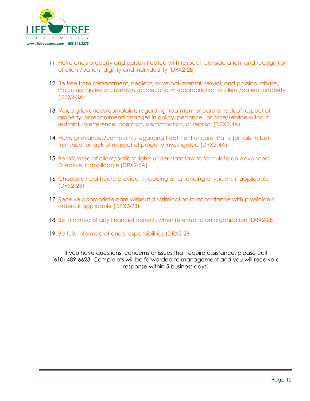

- 11. Have one's property and person treated with respect, consideration, and recognition of client/patient dignity and individuality (DRX2-2B)
- 12. Be free from mistreatment, neglect, or verbal, mental, sexual, and physical abuse, including injuries of unknown source, and misappropriation of client/patient property (DRX2-3A)
- 13. Voice grievances/complaints regarding treatment or care or lack of respect of property, or recommend changes in policy, personnel, or care/service without restraint, interference, coercion, discrimination, or reprisal (DRX2-4A)
- 14. Have grievances/complaints regarding treatment or care that is (or fails to be) furnished, or lack of respect of property investigated (DRX2-4A)
- 15. Be informed of client/patient rights under state law to formulate an Advanced Directive, if applicable (DRX2-6A)
- 16. Choose a healthcare provider, including an attending physician, if applicable (DRX2-2B)
- 17. Receive appropriate care without discrimination in accordance with physician's orders, if applicable (DRX2-2B)
- 18. Be informed of any financial benefits when referred to an organization (DRX2-2B)
- 19. Be fully informed of one's responsibilities (DRX2-2B

If you have questions, concerns or issues that require assistance, please call (610) 489-6623. Complaints will be forwarded to management and you will receive a response within 5 business days.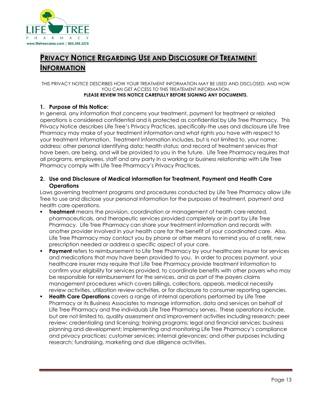

# <span id="page-13-0"></span>**PRIVACY NOTICE REGARDING USE AND DISCLOSURE OF TREATMENT INFORMATION**

THIS PRIVACY NOTICE DESCRIBES HOW YOUR TREATMENT INFORMATION MAY BE USED AND DISCLOSED, AND HOW YOU CAN GET ACCESS TO THIS TREATEMENT INFORMATION. **PLEASE REVIEW THIS NOTICE CAREFULLY BEFORE SIGNING ANY DOCUMENTS.** 

### **1. Purpose of this Notice:**

In general, any information that concerns your treatment, payment for treatment or related operations is considered confidential and is protected as confidential by Life Tree Pharmacy. This Privacy Notice describes Life Tree's Privacy Practices, specifically-the uses and disclosure Life Tree Pharmacy may make of your treatment information and what rights you have with respect to your treatment information. Treatment information includes, but is not limited to, your name; address; other personal identifying data; health status; and record of treatment services that have been, are being, and will be provided to you in the future. Life Tree Pharmacy requires that all programs, employees, staff and any party in a working or business relationship with Life Tree Pharmacy comply with Life Tree Pharmacy's Privacy Practices.

### **2. Use and Disclosure of Medical information for Treatment, Payment and Health Care Operations**

Laws governing treatment programs and procedures conducted by Life Tree Pharmacy allow Life Tree to use and disclose your personal information for the purposes of treatment, payment and health care operations.

- **Treatment** means the provision, coordination or management of health care related, pharmaceuticals, and therapeutic services provided completely or in part by Life Tree Pharmacy. Life Tree Pharmacy can share your treatment information and records with another provider involved in your health care for the benefit of your coordinated care. Also, Life Tree Pharmacy may contact you by phone or other means to remind you of a refill, new prescription needed or address a specific aspect of your care.
- **Payment** refers to reimbursement to Life Tree Pharmacy by your healthcare insurer for services and medications that may have been provided to you. In order to process payment, your healthcare insurer may require that Life Tree Pharmacy provide treatment information to confirm your eligibility for services provided, to coordinate benefits with other payers who may be responsible for reimbursement for the services, and as part of the payers claims management procedures which covers billings, collections, appeals, medical necessity review activities, utilization review activities, or for disclosure to consumer reporting agencies.
- **Health Care Operations** covers a range of internal operations performed by Life Tree Pharmacy or its Business Associates to manage information, data and services on behalf of Life Tree Pharmacy and the individuals Life Tree Pharmacy serves. These operations include, but are not limited to, quality assessment and improvement activities including research; peer review; credentialing and licensing; training programs; legal and financial services; business planning and development; implementing and monitoring Life Tree Pharmacy's compliance and privacy practices; customer services; internal grievances; and other purposes including research; fundraising, marketing and due diligence activities.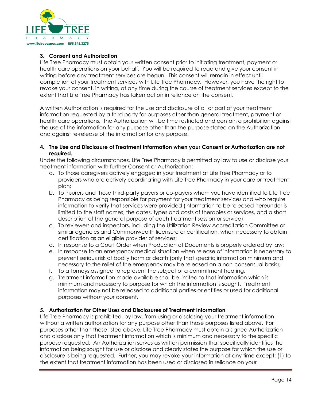

### **3. Consent and Authorization**

Life Tree Pharmacy must obtain your written consent prior to initiating treatment, payment or health care operations on your behalf. You will be required to read and give your consent in writing before any treatment services are begun. This consent will remain in effect until completion of your treatment services with Life Tree Pharmacy. However, you have the right to revoke your consent, in writing, at any time during the course of treatment services except to the extent that Life Tree Pharmacy has taken action in reliance on the consent.

A written Authorization is required for the use and disclosure of all or part of your treatment information requested by a third party for purposes other than general treatment, payment or health care operations. The Authorization will be time restricted and contain a prohibition against the use of the information for any purpose other than the purpose stated on the Authorization and against re-release of the information for any purpose.

#### **4. The Use and Disclosure of Treatment Information when your Consent or Authorization are not required.**

Under the following circumstances, Life Tree Pharmacy is permitted by law to use or disclose your treatment information with further Consent or Authorization:

- a. To those caregivers actively engaged in your treatment at Life Tree Pharmacy or to providers who are actively coordinating with Life Tree Pharmacy in your care or treatment plan;
- b. To insurers and those third-party payers or co-payers whom you have identified to Life Tree Pharmacy as being responsible for payment for your treatment services and who require information to verify that services were provided (information to be released hereunder is limited to the staff names, the dates, types and costs of therapies or services, and a short description of the general purpose of each treatment session or service);
- c. To reviewers and inspectors, including the Utilization Review Accreditation Committee or similar agencies and Commonwealth licensure or certification, when necessary to obtain certification as an eligible provider of services;
- d. In response to a Court Order when Production of Documents is properly ordered by law;
- e. In response to an emergency medical situation when release of information is necessary to prevent serious risk of bodily harm or death (only that specific information minimum and necessary to the relief of the emergency may be released on a non-consensual basis);
- f. To attorneys assigned to represent the subject of a commitment hearing.
- g. Treatment information made available shall be limited to that information which is minimum and necessary to purpose for which the information is sought. Treatment information may not be released to additional parties or entities or used for additional purposes without your consent.

### **5. Authorization for Other Uses and Disclosures of Treatment Information**

Life Tree Pharmacy is prohibited, by law, from using or disclosing your treatment information without a written authorization for any purpose other than those purposes listed above. For purposes other than those listed above, Life Tree Pharmacy must obtain a signed Authorization and disclose only that treatment information which is minimum and necessary to the specific purpose requested. An Authorization serves as written permission that specifically identifies the information being sought for use or disclose and clearly states the purpose for which the use or disclosure is being requested. Further, you may revoke your information at any time except: (1) to the extent that treatment information has been used or disclosed in reliance on your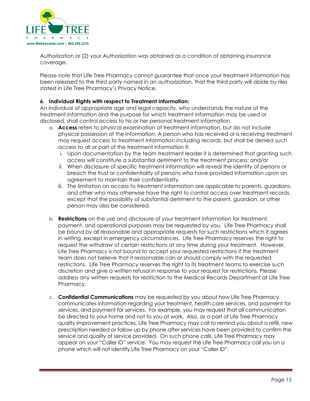

Authorization or (2) your Authorization was obtained as a condition of obtaining insurance coverage.

Please note that Life Tree Pharmacy cannot guarantee that once your treatment information has been released to the third party named in an authorization, that the third party will abide by riles stated in Life Tree Pharmacy's Privacy Notice.

### **6. Individual Rights with respect to Treatment Information:**

An individual of appropriate age and legal capacity, who understands the nature of the treatment information and the purpose for which treatment information may be used or disclosed, shall control access to his or her personal treatment information.

- a. **Access** refers to physical examination of treatment information, but do not include physical possession of the information. A person who has received or is receiving treatment may request access to treatment information including records, but shall be denied such access to all or part of the treatment information if:
	- i. Upon documentation by the team treatment leader it is determined that granting such access will constitute a substantial detriment to the treatment process; and/or
	- ii. When disclosure of specific treatment information will reveal the identity of persons or breach the trust or confidentiality of persons who have provided information upon an agreement to maintain their confidentiality.
	- iii. The limitation on access to treatment information are applicable to parents, guardians, and other who may otherwise have the right to control access over treatment records, except that the possibility of substantial detriment to the parent, guardian, or other person may also be considered.
- b. **Restrictions** on the use and disclosure of your treatment information for treatment, payment, and operational purposes may be requested by you. Life Tree Pharmacy shall be bound by all reasonable and appropriate requests for such restrictions which it agrees in writing, except in emergency circumstances. Life Tree Pharmacy reserves the right to request the withdraw of certain restrictions at any time during your treatment. However, Life Tree Pharmacy is not bound to accept your requested restrictions if the treatment team does not believe that it reasonable can or should comply with the requested restrictions. Life Tree Pharmacy reserves the right to its treatment teams to exercise such discretion and give a written refusal in response to your request for restrictions. Please address any written requests for restriction to the Medical Records Department at Life Tree Pharmacy.
- c. **Confidential Communications** may be requested by you about how Life Tree Pharmacy communicates information regarding your treatment, health care services, and payment for services, and payment for services. For example, you may request that all communication be directed to your home and not to you at work. Also, as a part of Life Tree Pharmacy quality improvement practices, Life Tree Pharmacy may call to remind you about a refill, new prescription needed or follow up by phone after services have been provided to confirm the service and quality of service provided. On such phone calls, Life Tree Pharmacy may appear on your "Caller ID" service. You may request the Life Tree Pharmacy call you on a phone which will not identify Life Tree Pharmacy on your "Caller ID".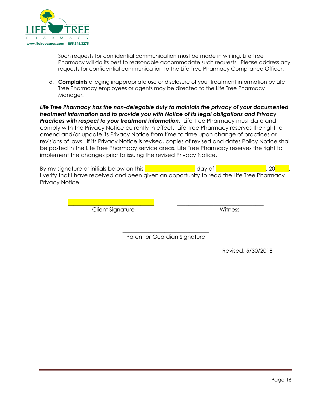

Such requests for confidential communication must be made in writing. Life Tree Pharmacy will do its best to reasonable accommodate such requests. Please address any requests for confidential communication to the Life Tree Pharmacy Compliance Officer.

d. **Complaints** alleging inappropriate use or disclosure of your treatment information by Life Tree Pharmacy employees or agents may be directed to the Life Tree Pharmacy Manager.

*Life Tree Pharmacy has the non-delegable duty to maintain the privacy of your documented treatment information and to provide you with Notice of its legal obligations and Privacy*  **Practices with respect to your treatment information.** Life Tree Pharmacy must date and comply with the Privacy Notice currently in effect. Life Tree Pharmacy reserves the right to amend and/or update its Privacy Notice from time to time upon change of practices or revisions of laws. If its Privacy Notice is revised, copies of revised and dates Policy Notice shall be posted in the Life Tree Pharmacy service areas. Life Tree Pharmacy reserves the right to implement the changes prior to issuing the revised Privacy Notice.

By my signature or initials below on this **Definition of the same of the set of the set of the set of the set o** I verify that I have received and been given an opportunity to read the Life Tree Pharmacy Privacy Notice.

> \_\_\_\_\_\_\_\_\_\_\_\_\_\_\_\_\_\_\_\_\_\_\_\_\_\_\_\_\_\_\_ \_\_\_\_\_\_\_\_\_\_\_\_\_\_\_\_\_\_\_\_\_\_\_\_\_\_\_\_\_\_\_ Client Signature Witness

\_\_\_\_\_\_\_\_\_\_\_\_\_\_\_\_\_\_\_\_\_\_\_\_\_\_\_\_\_\_\_ Parent or Guardian Signature

Revised: 5/30/2018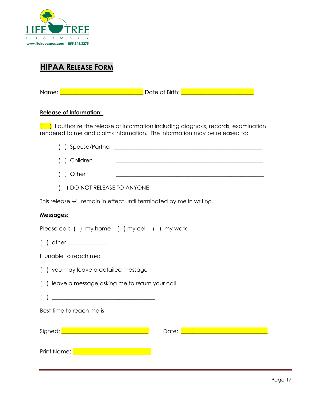

# <span id="page-17-0"></span>**HIPAA RELEASE FORM**

Name: \_\_\_\_\_\_\_\_\_\_\_\_\_\_\_\_\_\_\_\_\_\_\_\_\_\_\_\_\_\_ Date of Birth: \_\_\_\_\_\_\_\_\_\_\_\_\_\_\_\_\_\_\_\_\_\_\_\_\_\_

### **Release of Information:**

 $\left(\begin{array}{c} \bullet \end{array}\right)$  I authorize the release of information including diagnosis, records, examination rendered to me and claims information. The information may be released to:

| ) Children<br><u> 1989 - Johann John Stone, mars and deutscher Stone († 1989)</u>                                                                                                                                                                                                                                                                                                                                    |
|----------------------------------------------------------------------------------------------------------------------------------------------------------------------------------------------------------------------------------------------------------------------------------------------------------------------------------------------------------------------------------------------------------------------|
| ) Other<br><u> 1989 - Johann Stein, marwolaethau a bhann an t-Amhain an t-Amhain an t-Amhain an t-Amhain an t-Amhain an t-A</u>                                                                                                                                                                                                                                                                                      |
| ) DO NOT RELEASE TO ANYONE                                                                                                                                                                                                                                                                                                                                                                                           |
| This release will remain in effect until terminated by me in writing.                                                                                                                                                                                                                                                                                                                                                |
| Messages:                                                                                                                                                                                                                                                                                                                                                                                                            |
| Please call: () my home () my cell () my work __________________________________                                                                                                                                                                                                                                                                                                                                     |
|                                                                                                                                                                                                                                                                                                                                                                                                                      |
| If unable to reach me:                                                                                                                                                                                                                                                                                                                                                                                               |
| () you may leave a detailed message                                                                                                                                                                                                                                                                                                                                                                                  |
| () leave a message asking me to return your call                                                                                                                                                                                                                                                                                                                                                                     |
| $\begin{pmatrix} 1 \end{pmatrix}$ and $\begin{pmatrix} 1 \end{pmatrix}$ and $\begin{pmatrix} 1 \end{pmatrix}$ and $\begin{pmatrix} 1 \end{pmatrix}$ and $\begin{pmatrix} 1 \end{pmatrix}$ and $\begin{pmatrix} 1 \end{pmatrix}$ and $\begin{pmatrix} 1 \end{pmatrix}$ and $\begin{pmatrix} 1 \end{pmatrix}$ and $\begin{pmatrix} 1 \end{pmatrix}$ and $\begin{pmatrix} 1 \end{pmatrix}$ and $\begin{pmatrix} 1 \end$ |
|                                                                                                                                                                                                                                                                                                                                                                                                                      |
| Signed: <u>December 2008 - Alexander Signed: December 2008</u><br>Date: <u>Discovery and the property of the set</u>                                                                                                                                                                                                                                                                                                 |
| Print Name: <u>Denomination of the print</u>                                                                                                                                                                                                                                                                                                                                                                         |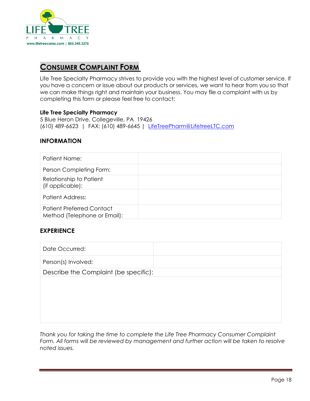

### <span id="page-18-0"></span>**CONSUMER COMPLAINT FORM**

Life Tree Specialty Pharmacy strives to provide you with the highest level of customer service. If you have a concern or issue about our products or services, we want to hear from you so that we can make things right and maintain your business. You may file a complaint with us by completing this form or please feel free to contact:

### **Life Tree Specialty Pharmacy**

5 Blue Heron Drive, Collegeville, PA 19426 (610) 489-6623 | FAX: (610) 489-6645 | [LifeTreePharm@LifetreeLTC.com](mailto:LifeTreePharm@LifetreeLTC.com)

### **INFORMATION**

| Patient Name:                                                    |  |
|------------------------------------------------------------------|--|
| Person Completing Form:                                          |  |
| Relationship to Patient<br>(if applicable):                      |  |
| <b>Patient Address:</b>                                          |  |
| <b>Patient Preferred Contact</b><br>Method (Telephone or Email): |  |

### **EXPERIENCE**

| Date Occurred:                        |  |
|---------------------------------------|--|
| Person(s) Involved:                   |  |
| Describe the Complaint (be specific): |  |
|                                       |  |
|                                       |  |
|                                       |  |
|                                       |  |
|                                       |  |

*Thank you for taking the time to complete the Life Tree Pharmacy Consumer Complaint*  Form. All forms will be reviewed by management and further action will be taken to resolve *noted issues.*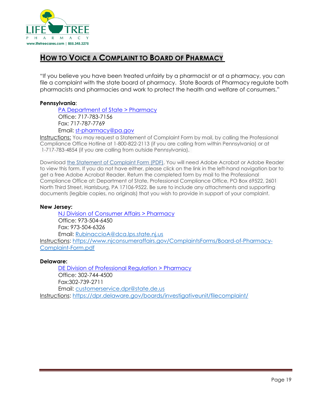

## <span id="page-19-0"></span>**HOW TO VOICE A COMPLAINT TO BOARD OF PHARMACY**

"If you believe you have been treated unfairly by a pharmacist or at a pharmacy, you can file a complaint with the state board of pharmacy. State Boards of Pharmacy regulate both pharmacists and pharmacies and work to protect the health and welfare of consumers."

### **Pennsylvania**:

[PA Department of State > Pharmacy](https://www.dos.pa.gov/ProfessionalLicensing/BoardsCommissions/Pharmacy/Pages/default.aspx#.VjO9WGeFO7M) Office: 717-783-7156 Fax: 717-787-7769 Email: [st-pharmacy@pa.gov](mailto:st-pharmacy@pa.gov)

Instructions: You may request a Statement of Complaint Form by mail, by calling the Professional Compliance Office Hotline at 1-800-822-2113 (if you are calling from within Pennsylvania) or at 1-717-783-4854 (if you are calling from outside Pennsylvania).

Download [the Statement of Complaint Form](https://www.dos.pa.gov/ProfessionalLicensing/FileaComplaint/Documents/Complaint%20Form%20REV2015%20NEW%20ADDRESS.pdf) (PDF). You will need Adobe Acrobat or Adobe Reader to view this form. If you do not have either, please click on the link in the left-hand navigation bar to get a free Adobe Acrobat Reader. Return the completed form by mail to the Professional Compliance Office at: Department of State, Professional Compliance Office, PO Box 69522, 2601 North Third Street, Harrisburg, PA 17106-9522. Be sure to include any attachments and supporting documents (legible copies, no originals) that you wish to provide in support of your complaint.

### **New Jersey:**

[NJ Division of Consumer Affairs > Pharmacy](https://www.njconsumeraffairs.gov/phar) Office: 973-504-6450 Fax: 973-504-6326 Email: [RubinaccioA@dca.lps.state.nj.us](mailto:RubinaccioA@dca.lps.state.nj.us) Instructions: [https://www.njconsumeraffairs.gov/ComplaintsForms/Board-of-Pharmacy-](https://www.njconsumeraffairs.gov/ComplaintsForms/Board-of-Pharmacy-Complaint-Form.pdf)[Complaint-Form.pdf](https://www.njconsumeraffairs.gov/ComplaintsForms/Board-of-Pharmacy-Complaint-Form.pdf)

### **Delaware:**

[DE Division of Professional Regulation > Pharmacy](https://dpr.delaware.gov/boards/pharmacy/) Office: 302-744-4500 Fax:302-739-2711 Email: [customerservice.dpr@state.de.us](mailto:customerservice.dpr@state.de.us)  Instructions:<https://dpr.delaware.gov/boards/investigativeunit/filecomplaint/>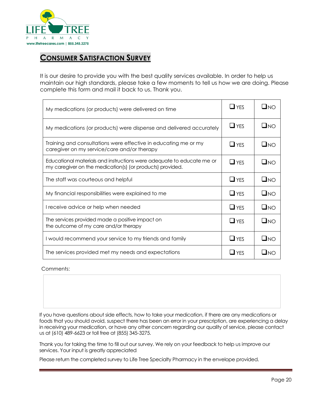

## <span id="page-20-0"></span>**CONSUMER SATISFACTION SURVEY**

It is our desire to provide you with the best quality services available. In order to help us maintain our high standards, please take a few moments to tell us how we are doing. Please complete this form and mail it back to us. Thank you.

| My medications (or products) were delivered on time                                                                                |            | $\Box$ no    |
|------------------------------------------------------------------------------------------------------------------------------------|------------|--------------|
| My medications (or products) were dispense and delivered accurately                                                                | $\Box$ YES | $\square$ NO |
| Training and consultations were effective in educating me or my<br>caregiver on my service/care and/or therapy                     | $\Box$ YES | $\square$ NO |
| Educational materials and instructions were adequate to educate me or<br>my caregiver on the medication(s) (or products) provided. | $\Box$ YES | $\square$ NO |
| The staff was courteous and helpful                                                                                                | $\Box$ YES | $\square$ NO |
| My financial responsibilities were explained to me                                                                                 | $\Box$ YFS | $\square$ NO |
| I receive advice or help when needed                                                                                               | $\Box$ YES | $\square$ NO |
| The services provided made a positive impact on<br>the outcome of my care and/or therapy                                           | $\Box$ YES | $\square$ NO |
| I would recommend your service to my friends and family                                                                            | $\Box$ YES | $\square$ NO |
| The services provided met my needs and expectations                                                                                | $\Box$ YES | $\Box$ No    |

#### Comments:

If you have questions about side effects, how to take your medication, if there are any medications or foods that you should avoid, suspect there has been an error in your prescription, are experiencing a delay in receiving your medication, or have any other concern regarding our quality of service, please contact us at (610) 489-6623 or toll free at (855) 345-3275.

Thank you for taking the time to fill out our survey. We rely on your feedback to help us improve our services. Your input is greatly appreciated.

Please return the completed survey to Life Tree Specialty Pharmacy in the envelope provided.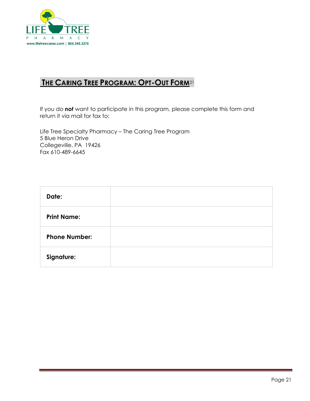

# **THE CARING TREE PROGRAM: OPT-OUT FORM**<sup>21</sup>

<span id="page-21-0"></span>If you do *not* want to participate in this program, pleas[e c](#page-21-1)omplete this form and return it via mail for fax to:

Life Tree Specialty Pharmacy – The Caring Tree Program 5 Blue Heron Drive Collegeville, PA 19426 Fax 610-489-6645

<span id="page-21-1"></span>

| Date:                |  |
|----------------------|--|
| <b>Print Name:</b>   |  |
| <b>Phone Number:</b> |  |
| Signature:           |  |